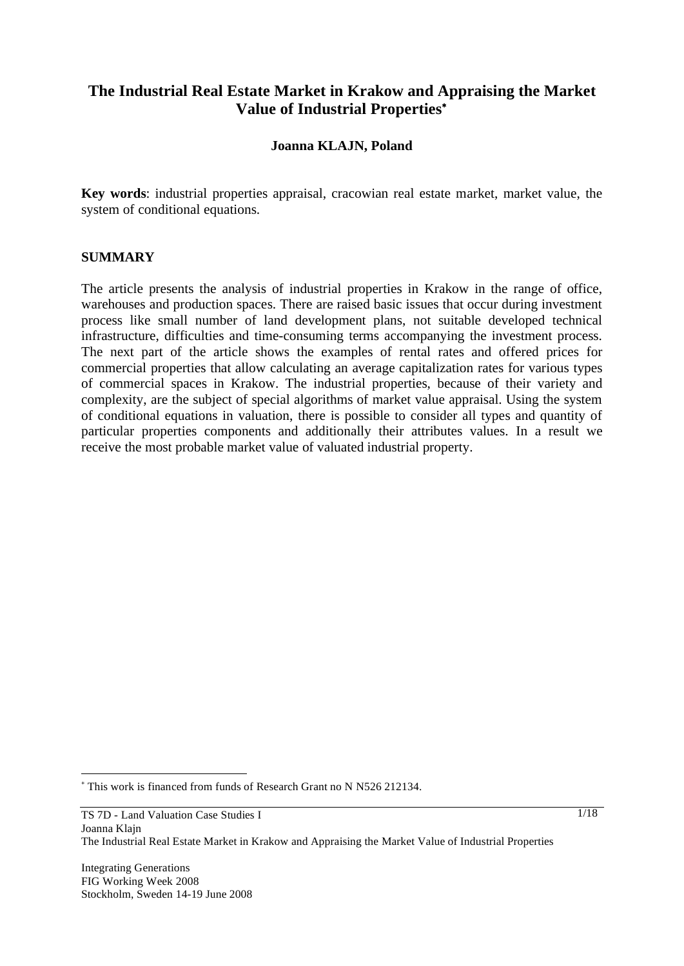# **The Industrial Real Estate Market in Krakow and Appraising the Market Value of Industrial Properties**

### **Joanna KLAJN, Poland**

**Key words**: industrial properties appraisal, cracowian real estate market, market value, the system of conditional equations.

#### **SUMMARY**

The article presents the analysis of industrial properties in Krakow in the range of office, warehouses and production spaces. There are raised basic issues that occur during investment process like small number of land development plans, not suitable developed technical infrastructure, difficulties and time-consuming terms accompanying the investment process. The next part of the article shows the examples of rental rates and offered prices for commercial properties that allow calculating an average capitalization rates for various types of commercial spaces in Krakow. The industrial properties, because of their variety and complexity, are the subject of special algorithms of market value appraisal. Using the system of conditional equations in valuation, there is possible to consider all types and quantity of particular properties components and additionally their attributes values. In a result we receive the most probable market value of valuated industrial property.

l

 This work is financed from funds of Research Grant no N N526 212134.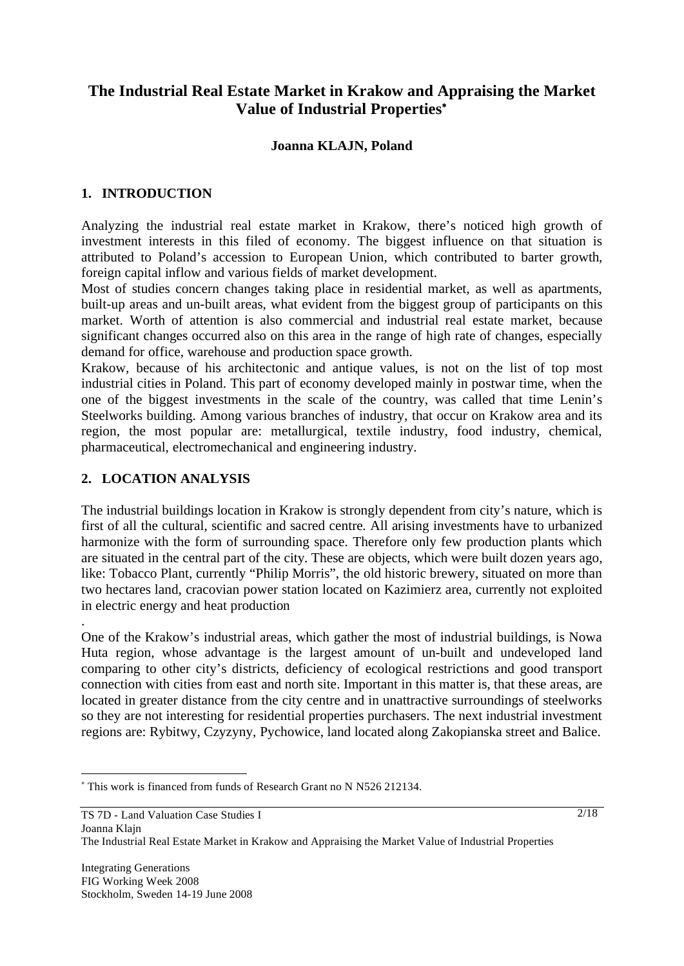# **The Industrial Real Estate Market in Krakow and Appraising the Market Value of Industrial Properties**

## **Joanna KLAJN, Poland**

#### **1. INTRODUCTION**

Analyzing the industrial real estate market in Krakow, there's noticed high growth of investment interests in this filed of economy. The biggest influence on that situation is attributed to Poland's accession to European Union, which contributed to barter growth, foreign capital inflow and various fields of market development.

Most of studies concern changes taking place in residential market, as well as apartments, built-up areas and un-built areas, what evident from the biggest group of participants on this market. Worth of attention is also commercial and industrial real estate market, because significant changes occurred also on this area in the range of high rate of changes, especially demand for office, warehouse and production space growth.

Krakow, because of his architectonic and antique values, is not on the list of top most industrial cities in Poland. This part of economy developed mainly in postwar time, when the one of the biggest investments in the scale of the country, was called that time Lenin's Steelworks building. Among various branches of industry, that occur on Krakow area and its region, the most popular are: metallurgical, textile industry, food industry, chemical, pharmaceutical, electromechanical and engineering industry.

### **2. LOCATION ANALYSIS**

.

l

The industrial buildings location in Krakow is strongly dependent from city's nature, which is first of all the cultural, scientific and sacred centre. All arising investments have to urbanized harmonize with the form of surrounding space. Therefore only few production plants which are situated in the central part of the city. These are objects, which were built dozen years ago, like: Tobacco Plant, currently "Philip Morris", the old historic brewery, situated on more than two hectares land, cracovian power station located on Kazimierz area, currently not exploited in electric energy and heat production

One of the Krakow's industrial areas, which gather the most of industrial buildings, is Nowa Huta region, whose advantage is the largest amount of un-built and undeveloped land comparing to other city's districts, deficiency of ecological restrictions and good transport connection with cities from east and north site. Important in this matter is, that these areas, are located in greater distance from the city centre and in unattractive surroundings of steelworks so they are not interesting for residential properties purchasers. The next industrial investment regions are: Rybitwy, Czyzyny, Pychowice, land located along Zakopianska street and Balice.

 This work is financed from funds of Research Grant no N N526 212134.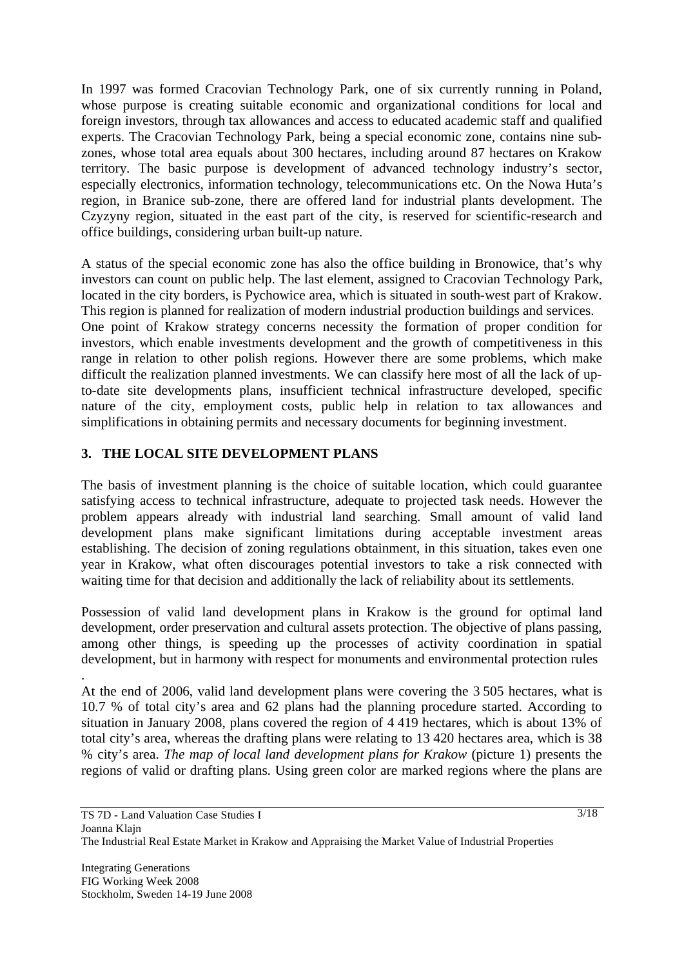In 1997 was formed Cracovian Technology Park, one of six currently running in Poland, whose purpose is creating suitable economic and organizational conditions for local and foreign investors, through tax allowances and access to educated academic staff and qualified experts. The Cracovian Technology Park, being a special economic zone, contains nine subzones, whose total area equals about 300 hectares, including around 87 hectares on Krakow territory. The basic purpose is development of advanced technology industry's sector, especially electronics, information technology, telecommunications etc. On the Nowa Huta's region, in Branice sub-zone, there are offered land for industrial plants development. The Czyzyny region, situated in the east part of the city, is reserved for scientific-research and office buildings, considering urban built-up nature.

A status of the special economic zone has also the office building in Bronowice, that's why investors can count on public help. The last element, assigned to Cracovian Technology Park, located in the city borders, is Pychowice area, which is situated in south-west part of Krakow. This region is planned for realization of modern industrial production buildings and services. One point of Krakow strategy concerns necessity the formation of proper condition for investors, which enable investments development and the growth of competitiveness in this range in relation to other polish regions. However there are some problems, which make difficult the realization planned investments. We can classify here most of all the lack of upto-date site developments plans, insufficient technical infrastructure developed, specific nature of the city, employment costs, public help in relation to tax allowances and simplifications in obtaining permits and necessary documents for beginning investment.

# **3. THE LOCAL SITE DEVELOPMENT PLANS**

The basis of investment planning is the choice of suitable location, which could guarantee satisfying access to technical infrastructure, adequate to projected task needs. However the problem appears already with industrial land searching. Small amount of valid land development plans make significant limitations during acceptable investment areas establishing. The decision of zoning regulations obtainment, in this situation, takes even one year in Krakow, what often discourages potential investors to take a risk connected with waiting time for that decision and additionally the lack of reliability about its settlements.

Possession of valid land development plans in Krakow is the ground for optimal land development, order preservation and cultural assets protection. The objective of plans passing, among other things, is speeding up the processes of activity coordination in spatial development, but in harmony with respect for monuments and environmental protection rules

At the end of 2006, valid land development plans were covering the 3 505 hectares, what is 10.7 % of total city's area and 62 plans had the planning procedure started. According to situation in January 2008, plans covered the region of 4 419 hectares, which is about 13% of total city's area, whereas the drafting plans were relating to 13 420 hectares area, which is 38 % city's area. *The map of local land development plans for Krakow* (picture 1) presents the regions of valid or drafting plans. Using green color are marked regions where the plans are

.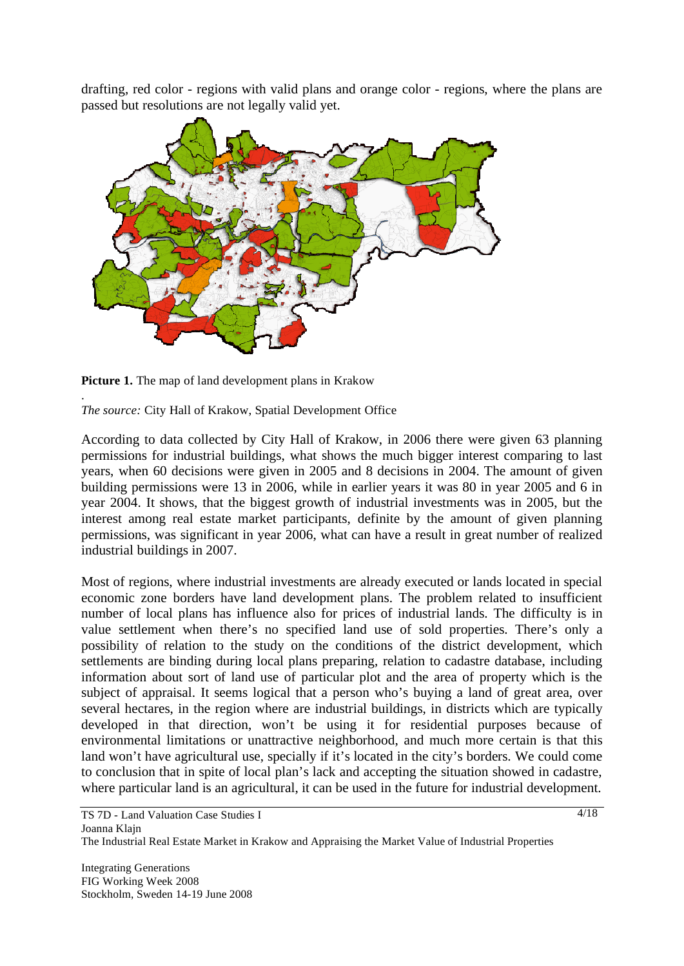drafting, red color - regions with valid plans and orange color - regions, where the plans are passed but resolutions are not legally valid yet.



**Picture 1.** The map of land development plans in Krakow

. *The source:* City Hall of Krakow, Spatial Development Office

According to data collected by City Hall of Krakow, in 2006 there were given 63 planning permissions for industrial buildings, what shows the much bigger interest comparing to last years, when 60 decisions were given in 2005 and 8 decisions in 2004. The amount of given building permissions were 13 in 2006, while in earlier years it was 80 in year 2005 and 6 in year 2004. It shows, that the biggest growth of industrial investments was in 2005, but the interest among real estate market participants, definite by the amount of given planning permissions, was significant in year 2006, what can have a result in great number of realized industrial buildings in 2007.

Most of regions, where industrial investments are already executed or lands located in special economic zone borders have land development plans. The problem related to insufficient number of local plans has influence also for prices of industrial lands. The difficulty is in value settlement when there's no specified land use of sold properties. There's only a possibility of relation to the study on the conditions of the district development, which settlements are binding during local plans preparing, relation to cadastre database, including information about sort of land use of particular plot and the area of property which is the subject of appraisal. It seems logical that a person who's buying a land of great area, over several hectares, in the region where are industrial buildings, in districts which are typically developed in that direction, won't be using it for residential purposes because of environmental limitations or unattractive neighborhood, and much more certain is that this land won't have agricultural use, specially if it's located in the city's borders. We could come to conclusion that in spite of local plan's lack and accepting the situation showed in cadastre, where particular land is an agricultural, it can be used in the future for industrial development.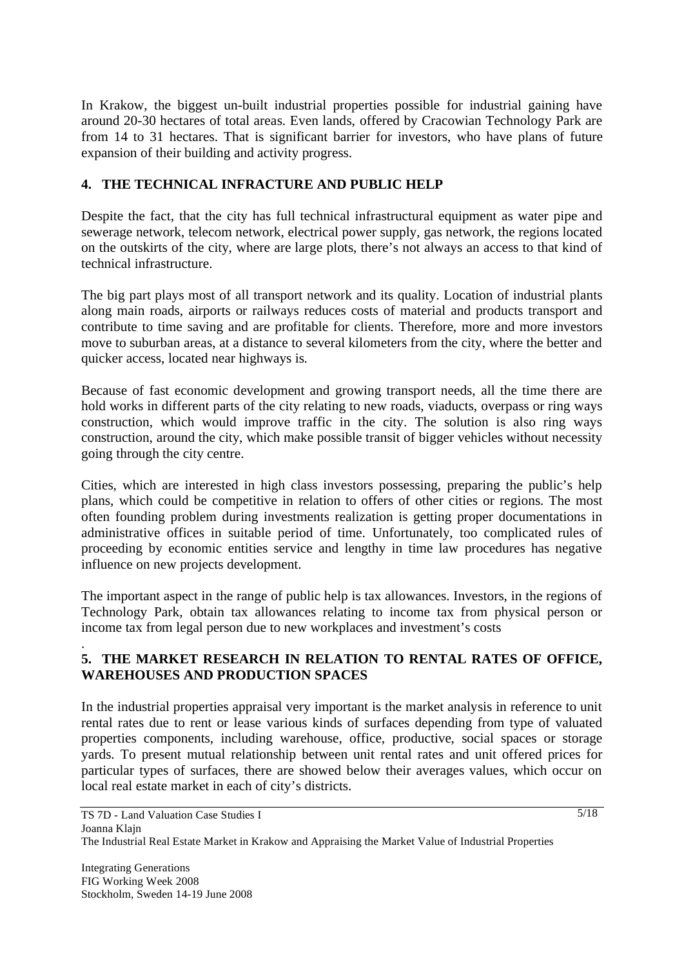In Krakow, the biggest un-built industrial properties possible for industrial gaining have around 20-30 hectares of total areas. Even lands, offered by Cracowian Technology Park are from 14 to 31 hectares. That is significant barrier for investors, who have plans of future expansion of their building and activity progress.

## **4. THE TECHNICAL INFRACTURE AND PUBLIC HELP**

Despite the fact, that the city has full technical infrastructural equipment as water pipe and sewerage network, telecom network, electrical power supply, gas network, the regions located on the outskirts of the city, where are large plots, there's not always an access to that kind of technical infrastructure.

The big part plays most of all transport network and its quality. Location of industrial plants along main roads, airports or railways reduces costs of material and products transport and contribute to time saving and are profitable for clients. Therefore, more and more investors move to suburban areas, at a distance to several kilometers from the city, where the better and quicker access, located near highways is.

Because of fast economic development and growing transport needs, all the time there are hold works in different parts of the city relating to new roads, viaducts, overpass or ring ways construction, which would improve traffic in the city. The solution is also ring ways construction, around the city, which make possible transit of bigger vehicles without necessity going through the city centre.

Cities, which are interested in high class investors possessing, preparing the public's help plans, which could be competitive in relation to offers of other cities or regions. The most often founding problem during investments realization is getting proper documentations in administrative offices in suitable period of time. Unfortunately, too complicated rules of proceeding by economic entities service and lengthy in time law procedures has negative influence on new projects development.

The important aspect in the range of public help is tax allowances. Investors, in the regions of Technology Park, obtain tax allowances relating to income tax from physical person or income tax from legal person due to new workplaces and investment's costs

### **5. THE MARKET RESEARCH IN RELATION TO RENTAL RATES OF OFFICE, WAREHOUSES AND PRODUCTION SPACES**

In the industrial properties appraisal very important is the market analysis in reference to unit rental rates due to rent or lease various kinds of surfaces depending from type of valuated properties components, including warehouse, office, productive, social spaces or storage yards. To present mutual relationship between unit rental rates and unit offered prices for particular types of surfaces, there are showed below their averages values, which occur on local real estate market in each of city's districts.

.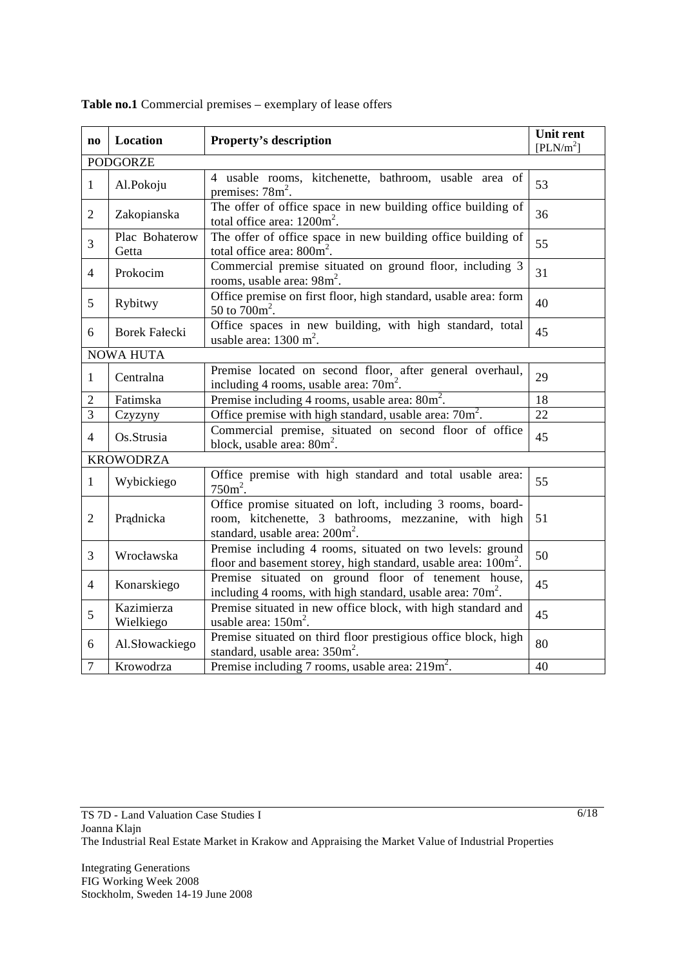| $\mathbf{n}\mathbf{o}$ | Location                                                                                                                                              | <b>Property's description</b>                                                                                                                                    |    |  |  |  |  |
|------------------------|-------------------------------------------------------------------------------------------------------------------------------------------------------|------------------------------------------------------------------------------------------------------------------------------------------------------------------|----|--|--|--|--|
|                        | [PLN/m <sup>2</sup> ]<br><b>PODGORZE</b>                                                                                                              |                                                                                                                                                                  |    |  |  |  |  |
| $\mathbf{1}$           | Al.Pokoju                                                                                                                                             | 4 usable rooms, kitchenette, bathroom, usable area of<br>premises: $78m^2$ .                                                                                     | 53 |  |  |  |  |
| $\overline{2}$         | Zakopianska                                                                                                                                           | The offer of office space in new building office building of<br>total office area: $1200m^2$ .                                                                   | 36 |  |  |  |  |
| $\overline{3}$         | Plac Bohaterow<br>Getta                                                                                                                               | The offer of office space in new building office building of<br>total office area: $800m^2$ .                                                                    | 55 |  |  |  |  |
| $\overline{4}$         | Prokocim                                                                                                                                              | Commercial premise situated on ground floor, including 3<br>rooms, usable area: 98m <sup>2</sup> .                                                               | 31 |  |  |  |  |
| 5                      | Rybitwy                                                                                                                                               | Office premise on first floor, high standard, usable area: form<br>50 to $700m^2$ .                                                                              |    |  |  |  |  |
| 6                      | <b>Borek Fałecki</b>                                                                                                                                  | 45                                                                                                                                                               |    |  |  |  |  |
|                        | <b>NOWA HUTA</b>                                                                                                                                      |                                                                                                                                                                  |    |  |  |  |  |
| 1                      | Centralna                                                                                                                                             | 29                                                                                                                                                               |    |  |  |  |  |
| $\overline{2}$         | Fatimska                                                                                                                                              | Premise including 4 rooms, usable area: 80m <sup>2</sup> .                                                                                                       | 18 |  |  |  |  |
| $\overline{3}$         | Czyzyny                                                                                                                                               | Office premise with high standard, usable area: 70m <sup>2</sup> .                                                                                               | 22 |  |  |  |  |
| $\overline{4}$         | Os.Strusia                                                                                                                                            | Commercial premise, situated on second floor of office<br>block, usable area: $80m^2$ .                                                                          |    |  |  |  |  |
| <b>KROWODRZA</b>       |                                                                                                                                                       |                                                                                                                                                                  |    |  |  |  |  |
| $\mathbf{1}$           | Office premise with high standard and total usable area:<br>Wybickiego<br>$750m^2$ .                                                                  |                                                                                                                                                                  | 55 |  |  |  |  |
| $\overline{2}$         | Prądnicka                                                                                                                                             | Office promise situated on loft, including 3 rooms, board-<br>room, kitchenette, 3 bathrooms, mezzanine, with high<br>standard, usable area: 200m <sup>2</sup> . |    |  |  |  |  |
| $\overline{3}$         | Premise including 4 rooms, situated on two levels: ground<br>Wrocławska<br>floor and basement storey, high standard, usable area: 100m <sup>2</sup> . |                                                                                                                                                                  |    |  |  |  |  |
| $\overline{4}$         | Konarskiego                                                                                                                                           | Premise situated on ground floor of tenement house,<br>including 4 rooms, with high standard, usable area: 70m <sup>2</sup> .                                    |    |  |  |  |  |
| 5                      | Kazimierza<br>Wielkiego                                                                                                                               | Premise situated in new office block, with high standard and<br>usable area: $150m^2$ .                                                                          | 45 |  |  |  |  |
| 6                      | Al.Słowackiego                                                                                                                                        | Premise situated on third floor prestigious office block, high<br>standard, usable area: $350m^2$ .                                                              |    |  |  |  |  |
| $\overline{7}$         | Premise including 7 rooms, usable area: $219\text{m}^2$ .<br>Krowodrza                                                                                |                                                                                                                                                                  |    |  |  |  |  |

**Table no.1** Commercial premises – exemplary of lease offers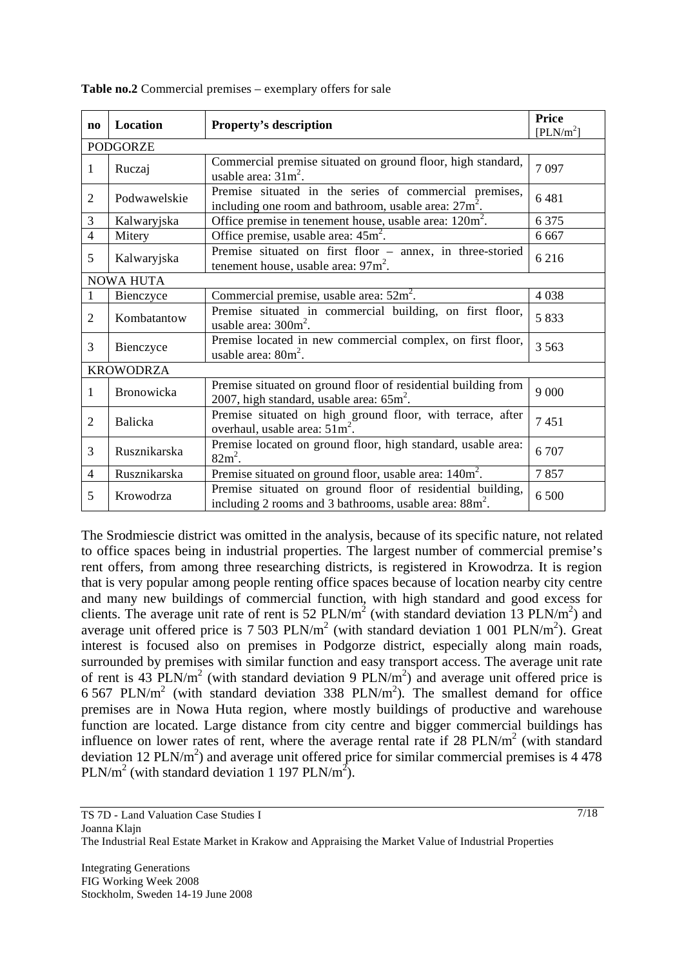| $\mathbf{n}\mathbf{o}$ | Location                                                                                                                            | <b>Property's description</b>                                                                                     | Price<br>[PLN/m <sup>2</sup> ] |  |  |  |  |
|------------------------|-------------------------------------------------------------------------------------------------------------------------------------|-------------------------------------------------------------------------------------------------------------------|--------------------------------|--|--|--|--|
|                        | <b>PODGORZE</b>                                                                                                                     |                                                                                                                   |                                |  |  |  |  |
| 1                      | Ruczaj                                                                                                                              | 7097                                                                                                              |                                |  |  |  |  |
| $\mathfrak{2}$         | Podwawelskie                                                                                                                        | Premise situated in the series of commercial premises,<br>including one room and bathroom, usable area: $27m^2$ . | 6481                           |  |  |  |  |
| 3                      | Kalwaryjska                                                                                                                         | Office premise in tenement house, usable area: $120m^2$ .                                                         | 6 3 7 5                        |  |  |  |  |
| $\overline{4}$         | Mitery                                                                                                                              | Office premise, usable area: $45m^2$ .                                                                            | 6 6 6 7                        |  |  |  |  |
| 5                      | Kalwaryjska                                                                                                                         | Premise situated on first floor - annex, in three-storied<br>tenement house, usable area: $97m^2$ .               |                                |  |  |  |  |
| <b>NOWA HUTA</b>       |                                                                                                                                     |                                                                                                                   |                                |  |  |  |  |
|                        | Bienczyce                                                                                                                           | Commercial premise, usable area: $52m^2$ .                                                                        | 4038                           |  |  |  |  |
| 2                      | Kombatantow                                                                                                                         | Premise situated in commercial building, on first floor,<br>usable area: $300m^2$ .                               | 5833                           |  |  |  |  |
| 3                      | Bienczyce                                                                                                                           | Premise located in new commercial complex, on first floor,<br>usable area: $80m^2$ .                              |                                |  |  |  |  |
| <b>KROWODRZA</b>       |                                                                                                                                     |                                                                                                                   |                                |  |  |  |  |
| 1                      | Bronowicka                                                                                                                          | Premise situated on ground floor of residential building from<br>2007, high standard, usable area: $65m^2$ .      | 9 0 0 0                        |  |  |  |  |
| 2                      | Balicka                                                                                                                             | Premise situated on high ground floor, with terrace, after<br>overhaul, usable area: $51 \text{m}^2$ .            | 7451                           |  |  |  |  |
| 3                      | Rusznikarska                                                                                                                        | Premise located on ground floor, high standard, usable area:<br>$82m^2$ .                                         |                                |  |  |  |  |
| $\overline{4}$         | Rusznikarska                                                                                                                        | Premise situated on ground floor, usable area: 140m <sup>2</sup> .                                                | 7857                           |  |  |  |  |
| 5                      | Premise situated on ground floor of residential building,<br>Krowodrza<br>including 2 rooms and 3 bathrooms, usable area: $88m^2$ . |                                                                                                                   | 6 500                          |  |  |  |  |

**Table no.2** Commercial premises – exemplary offers for sale

The Srodmiescie district was omitted in the analysis, because of its specific nature, not related to office spaces being in industrial properties. The largest number of commercial premise's rent offers, from among three researching districts, is registered in Krowodrza. It is region that is very popular among people renting office spaces because of location nearby city centre and many new buildings of commercial function, with high standard and good excess for clients. The average unit rate of rent is 52 PLN/m<sup>2</sup> (with standard deviation 13 PLN/m<sup>2</sup>) and average unit offered price is 7 503  $PLN/m^2$  (with standard deviation 1 001  $PLN/m^2$ ). Great interest is focused also on premises in Podgorze district, especially along main roads, surrounded by premises with similar function and easy transport access. The average unit rate of rent is 43  $PLN/m^2$  (with standard deviation 9  $PLN/m^2$ ) and average unit offered price is 6 567 PLN/ $m^2$  (with standard deviation 338 PLN/ $m^2$ ). The smallest demand for office premises are in Nowa Huta region, where mostly buildings of productive and warehouse function are located. Large distance from city centre and bigger commercial buildings has influence on lower rates of rent, where the average rental rate if  $28$  PLN/m<sup>2</sup> (with standard deviation 12 PLN/ $m<sup>2</sup>$ ) and average unit offered price for similar commercial premises is 4 478 PLN/m<sup>2</sup> (with standard deviation 1 197 PLN/m<sup>2</sup>).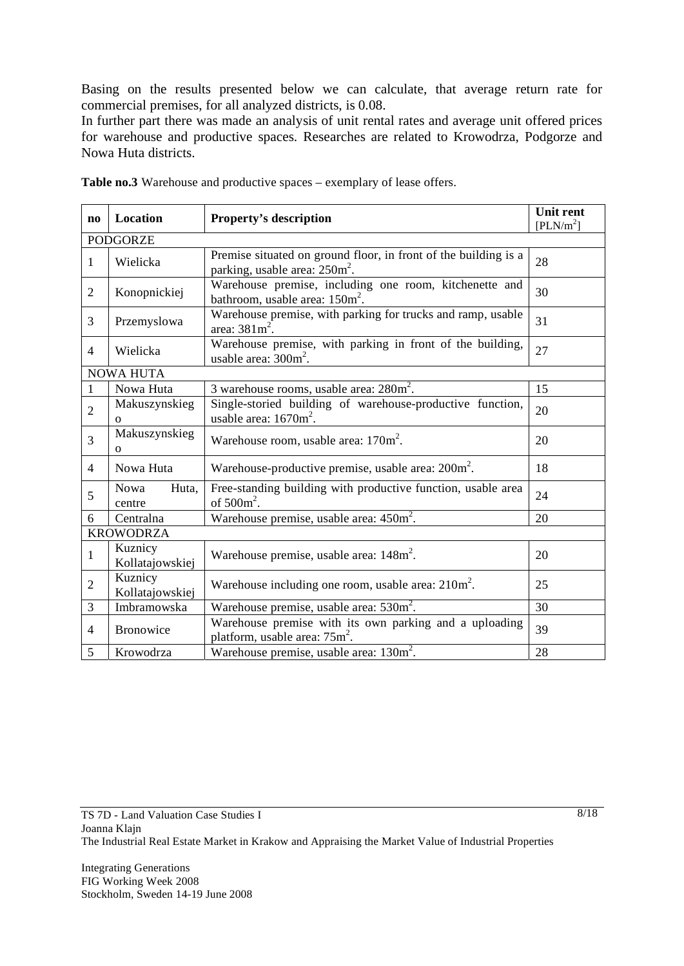Basing on the results presented below we can calculate, that average return rate for commercial premises, for all analyzed districts, is 0.08.

In further part there was made an analysis of unit rental rates and average unit offered prices for warehouse and productive spaces. Researches are related to Krowodrza, Podgorze and Nowa Huta districts.

| $\bf{no}$       | Location                                                                                                                                                          | <b>Unit rent</b><br>[PLN/m <sup>2</sup> ]           |    |  |  |  |
|-----------------|-------------------------------------------------------------------------------------------------------------------------------------------------------------------|-----------------------------------------------------|----|--|--|--|
| <b>PODGORZE</b> |                                                                                                                                                                   |                                                     |    |  |  |  |
| 1               | Wielicka                                                                                                                                                          | 28                                                  |    |  |  |  |
| $\overline{2}$  | parking, usable area: 250m <sup>2</sup> .<br>Warehouse premise, including one room, kitchenette and<br>Konopnickiej<br>bathroom, usable area: 150m <sup>2</sup> . |                                                     |    |  |  |  |
| 3               | Przemyslowa                                                                                                                                                       | 31                                                  |    |  |  |  |
| 4               | Wielicka                                                                                                                                                          | 27                                                  |    |  |  |  |
|                 | <b>NOWA HUTA</b>                                                                                                                                                  |                                                     |    |  |  |  |
| 1               | Nowa Huta                                                                                                                                                         | $3$ warehouse rooms, usable area: $280m^2$ .        | 15 |  |  |  |
| $\overline{2}$  | Makuszynskieg<br>$\Omega$                                                                                                                                         | 20                                                  |    |  |  |  |
| 3               | Makuszynskieg<br>Warehouse room, usable area: $170m^2$ .<br>$\mathbf{O}$                                                                                          |                                                     | 20 |  |  |  |
| $\overline{4}$  | Warehouse-productive premise, usable area: 200m <sup>2</sup> .<br>Nowa Huta                                                                                       |                                                     | 18 |  |  |  |
| 5               | Free-standing building with productive function, usable area<br>Nowa<br>Huta,<br>of $500m^2$ .<br>centre                                                          |                                                     | 24 |  |  |  |
| 6               | Centralna                                                                                                                                                         | Warehouse premise, usable area: 450m <sup>2</sup> . | 20 |  |  |  |
|                 | <b>KROWODRZA</b>                                                                                                                                                  |                                                     |    |  |  |  |
| 1               | Kuznicy<br>Warehouse premise, usable area: 148m <sup>2</sup> .<br>Kollatajowskiej                                                                                 |                                                     | 20 |  |  |  |
| $\overline{2}$  | Kuznicy<br>Warehouse including one room, usable area: $210m^2$ .<br>Kollatajowskiej                                                                               |                                                     | 25 |  |  |  |
| 3               | Imbramowska                                                                                                                                                       | 30                                                  |    |  |  |  |
| 4               | <b>Bronowice</b>                                                                                                                                                  | 39                                                  |    |  |  |  |
| 5               | Krowodrza                                                                                                                                                         | 28                                                  |    |  |  |  |

**Table no.3** Warehouse and productive spaces – exemplary of lease offers.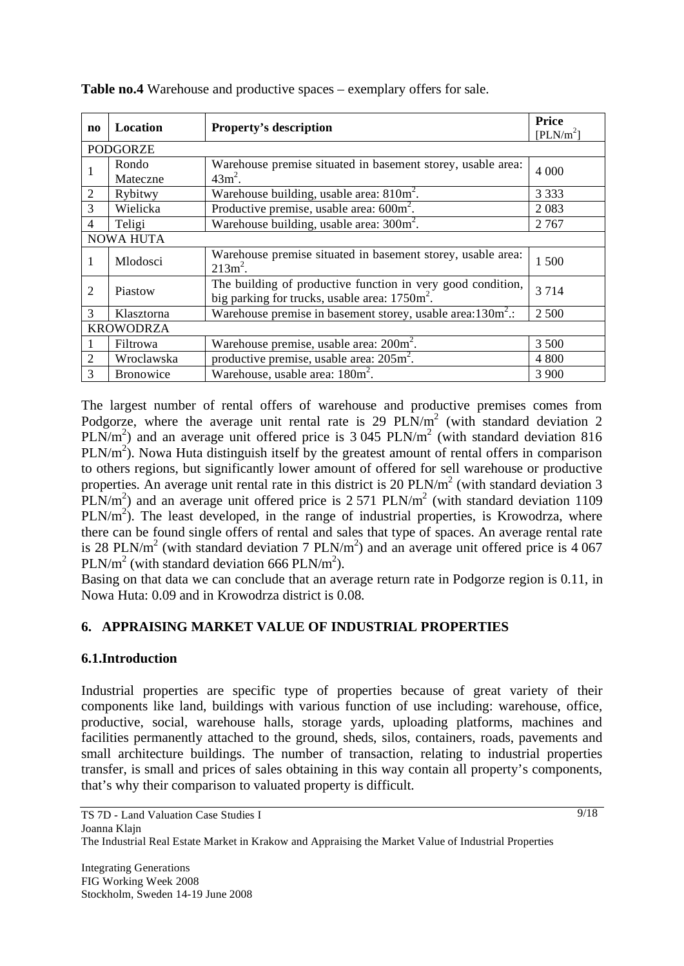| $\mathbf{n}\mathbf{o}$ | <b>Location</b>                                                                                                                     | <b>Property's description</b>                        | Price<br>[PLN/m <sup>2</sup> ] |  |  |  |
|------------------------|-------------------------------------------------------------------------------------------------------------------------------------|------------------------------------------------------|--------------------------------|--|--|--|
| <b>PODGORZE</b>        |                                                                                                                                     |                                                      |                                |  |  |  |
| 1                      | Rondo<br>Mateczne                                                                                                                   | 4 0 0 0                                              |                                |  |  |  |
| $\overline{2}$         | Rybitwy                                                                                                                             | Warehouse building, usable area: 810m <sup>2</sup> . | 3 3 3 3                        |  |  |  |
| 3                      | Wielicka                                                                                                                            | 2083                                                 |                                |  |  |  |
| $\overline{4}$         | Productive premise, usable area: $600m^2$ .<br>Warehouse building, usable area: 300m <sup>2</sup> .<br>Teligi                       |                                                      |                                |  |  |  |
| <b>NOWA HUTA</b>       |                                                                                                                                     |                                                      |                                |  |  |  |
| 1                      | Mlodosci                                                                                                                            | 1500                                                 |                                |  |  |  |
| $\overline{2}$         | The building of productive function in very good condition,<br>Piastow<br>big parking for trucks, usable area: 1750m <sup>2</sup> . |                                                      | 3714                           |  |  |  |
| $\mathcal{F}$          | Warehouse premise in basement storey, usable area: $130m^2$ .:<br>Klasztorna                                                        |                                                      | 2 5 0 0                        |  |  |  |
| <b>KROWODRZA</b>       |                                                                                                                                     |                                                      |                                |  |  |  |
|                        | Filtrowa                                                                                                                            | 3 500                                                |                                |  |  |  |
| $\overline{2}$         | Wroclawska                                                                                                                          | productive premise, usable area: $205m^2$ .<br>4 800 |                                |  |  |  |
| 3                      | Warehouse, usable area: $180m^2$ .<br>3 9 0 0<br><b>Bronowice</b>                                                                   |                                                      |                                |  |  |  |

**Table no.4** Warehouse and productive spaces – exemplary offers for sale.

The largest number of rental offers of warehouse and productive premises comes from Podgorze, where the average unit rental rate is 29  $PLN/m<sup>2</sup>$  (with standard deviation 2 PLN/m<sup>2</sup>) and an average unit offered price is 3 045 PLN/m<sup>2</sup> (with standard deviation 816 PLN/ $m<sup>2</sup>$ ). Nowa Huta distinguish itself by the greatest amount of rental offers in comparison to others regions, but significantly lower amount of offered for sell warehouse or productive properties. An average unit rental rate in this district is 20  $PLN/m<sup>2</sup>$  (with standard deviation 3  $PLN/m<sup>2</sup>$ ) and an average unit offered price is 2.571 PLN/m<sup>2</sup> (with standard deviation 1109  $PLN/m<sup>2</sup>$ ). The least developed, in the range of industrial properties, is Krowodrza, where there can be found single offers of rental and sales that type of spaces. An average rental rate is 28 PLN/m<sup>2</sup> (with standard deviation 7 PLN/m<sup>2</sup>) and an average unit offered price is 4 067  $PLN/m<sup>2</sup>$  (with standard deviation 666 PLN/m<sup>2</sup>).

Basing on that data we can conclude that an average return rate in Podgorze region is 0.11, in Nowa Huta: 0.09 and in Krowodrza district is 0.08.

# **6. APPRAISING MARKET VALUE OF INDUSTRIAL PROPERTIES**

### **6.1.Introduction**

Industrial properties are specific type of properties because of great variety of their components like land, buildings with various function of use including: warehouse, office, productive, social, warehouse halls, storage yards, uploading platforms, machines and facilities permanently attached to the ground, sheds, silos, containers, roads, pavements and small architecture buildings. The number of transaction, relating to industrial properties transfer, is small and prices of sales obtaining in this way contain all property's components, that's why their comparison to valuated property is difficult.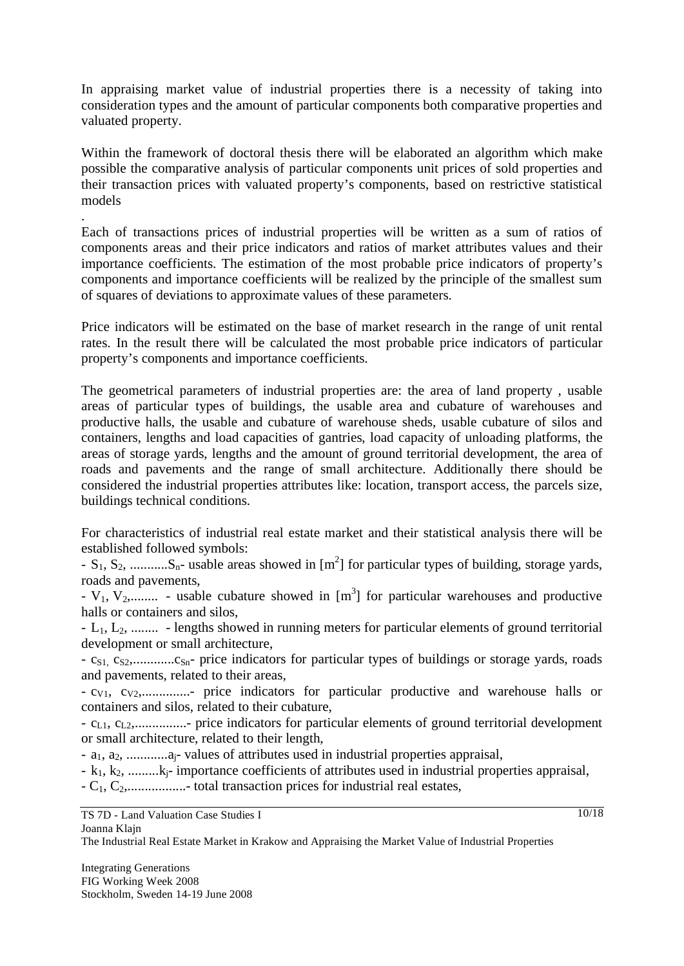In appraising market value of industrial properties there is a necessity of taking into consideration types and the amount of particular components both comparative properties and valuated property.

Within the framework of doctoral thesis there will be elaborated an algorithm which make possible the comparative analysis of particular components unit prices of sold properties and their transaction prices with valuated property's components, based on restrictive statistical models

Each of transactions prices of industrial properties will be written as a sum of ratios of components areas and their price indicators and ratios of market attributes values and their importance coefficients. The estimation of the most probable price indicators of property's components and importance coefficients will be realized by the principle of the smallest sum of squares of deviations to approximate values of these parameters.

Price indicators will be estimated on the base of market research in the range of unit rental rates. In the result there will be calculated the most probable price indicators of particular property's components and importance coefficients.

The geometrical parameters of industrial properties are: the area of land property , usable areas of particular types of buildings, the usable area and cubature of warehouses and productive halls, the usable and cubature of warehouse sheds, usable cubature of silos and containers, lengths and load capacities of gantries, load capacity of unloading platforms, the areas of storage yards, lengths and the amount of ground territorial development, the area of roads and pavements and the range of small architecture. Additionally there should be considered the industrial properties attributes like: location, transport access, the parcels size, buildings technical conditions.

For characteristics of industrial real estate market and their statistical analysis there will be established followed symbols:

 $-S_1, S_2, \dots, S_n$ - usable areas showed in  $[m^2]$  for particular types of building, storage yards, roads and pavements,

-  $V_1$ ,  $V_2$ ,......... - usable cubature showed in  $[m^3]$  for particular warehouses and productive halls or containers and silos,

- L1, L2, ........ - lengths showed in running meters for particular elements of ground territorial development or small architecture,

- cS1, cS2,............cSn- price indicators for particular types of buildings or storage yards, roads and pavements, related to their areas,

- cV1, cV2,..............- price indicators for particular productive and warehouse halls or containers and silos, related to their cubature,

- cL1, cL2,...............- price indicators for particular elements of ground territorial development or small architecture, related to their length,

- a<sub>1</sub>, a<sub>2</sub>, .............a<sub>j</sub>- values of attributes used in industrial properties appraisal,

 $-k_1, k_2, \ldots, k_i$ - importance coefficients of attributes used in industrial properties appraisal,

 $-C_1, C_2, \ldots, C_n$  total transaction prices for industrial real estates,

TS 7D - Land Valuation Case Studies I Joanna Klajn

.

The Industrial Real Estate Market in Krakow and Appraising the Market Value of Industrial Properties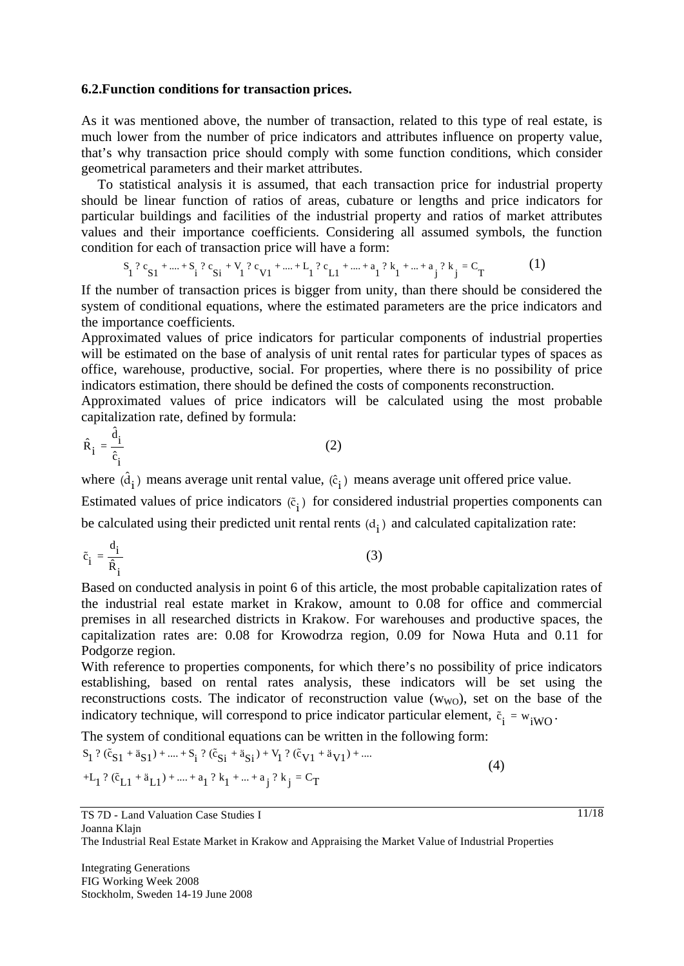#### **6.2.Function conditions for transaction prices.**

As it was mentioned above, the number of transaction, related to this type of real estate, is much lower from the number of price indicators and attributes influence on property value, that's why transaction price should comply with some function conditions, which consider geometrical parameters and their market attributes.

 To statistical analysis it is assumed, that each transaction price for industrial property should be linear function of ratios of areas, cubature or lengths and price indicators for particular buildings and facilities of the industrial property and ratios of market attributes values and their importance coefficients. Considering all assumed symbols, the function condition for each of transaction price will have a form:

$$
S_1^2 c_{S1}^2 + \dots + S_i^2 c_{Si}^2 + V_1^2 c_{V1}^2 + \dots + L_i^2 c_{L1}^2 + \dots + a_i^2 k_1^2 + \dots + a_j^2 k_j^2 = C_T
$$
 (1)

If the number of transaction prices is bigger from unity, than there should be considered the system of conditional equations, where the estimated parameters are the price indicators and the importance coefficients.

Approximated values of price indicators for particular components of industrial properties will be estimated on the base of analysis of unit rental rates for particular types of spaces as office, warehouse, productive, social. For properties, where there is no possibility of price indicators estimation, there should be defined the costs of components reconstruction.

Approximated values of price indicators will be calculated using the most probable capitalization rate, defined by formula:

$$
\hat{\mathbf{R}}_i = \frac{\hat{\mathbf{d}}_i}{\hat{\mathbf{c}}_i} \tag{2}
$$

where  $(\hat{d}_i)$  means average unit rental value,  $(\hat{c}_i)$  means average unit offered price value.

Estimated values of price indicators  $(\tilde{c}_i)$  for considered industrial properties components can be calculated using their predicted unit rental rents  $(d_i)$  and calculated capitalization rate:

$$
\tilde{c}_i = \frac{d_i}{\hat{R}_i} \tag{3}
$$

Based on conducted analysis in point 6 of this article, the most probable capitalization rates of the industrial real estate market in Krakow, amount to 0.08 for office and commercial premises in all researched districts in Krakow. For warehouses and productive spaces, the capitalization rates are: 0.08 for Krowodrza region, 0.09 for Nowa Huta and 0.11 for Podgorze region.

With reference to properties components, for which there's no possibility of price indicators establishing, based on rental rates analysis, these indicators will be set using the reconstructions costs. The indicator of reconstruction value  $(w_{WO})$ , set on the base of the indicatory technique, will correspond to price indicator particular element,  $\tilde{c}_i = w_{iWO}$ .

The system of conditional equations can be written in the following form:

$$
S_1^2 (\tilde{c}_{S1} + \tilde{a}_{S1}) + .... + S_i^2 (\tilde{c}_{Si} + \tilde{a}_{Si}) + V_1^2 (\tilde{c}_{V1} + \tilde{a}_{V1}) + ....
$$
  
+L<sub>1</sub><sup>2</sup> (\tilde{c}\_{L1} + \tilde{a}\_{L1}) + .... + a<sub>1</sub><sup>2</sup> k<sub>1</sub> + .... + a<sub>j</sub><sup>2</sup> k<sub>j</sub> = C<sub>T</sub> (4)

The Industrial Real Estate Market in Krakow and Appraising the Market Value of Industrial Properties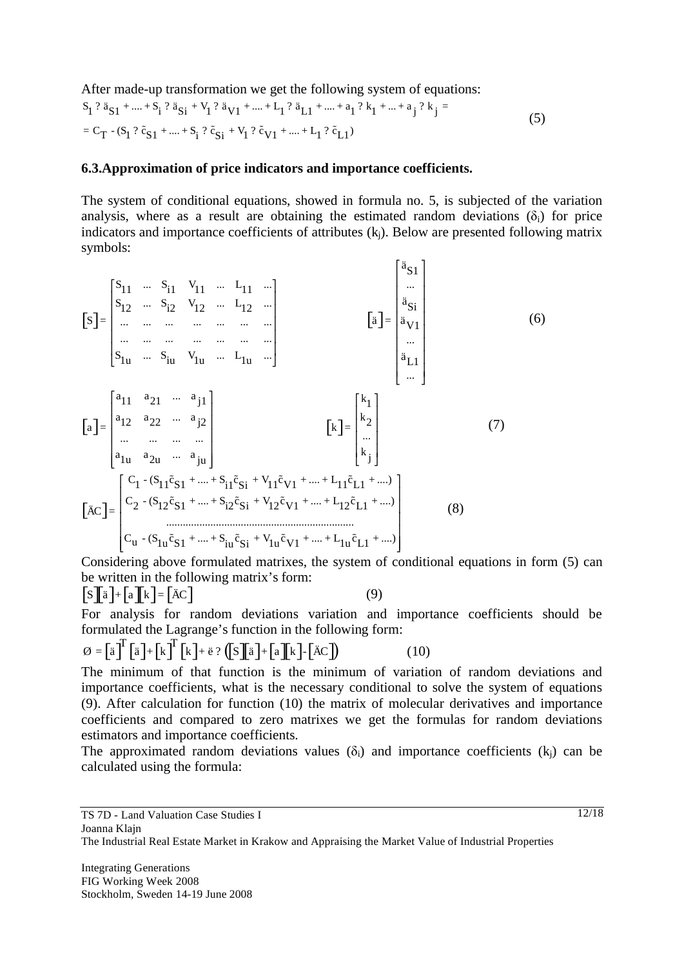After made-up transformation we get the following system of equations:

$$
S_1? \ddot{a}_{S1} + .... + S_i? \ddot{a}_{Si} + V_1? \ddot{a}_{V1} + .... + L_1? \ddot{a}_{L1} + .... + a_1? k_1 + .... + a_j? k_j =
$$
  
= C\_T - (S\_1? \ddot{c}\_{S1} + .... + S\_i? \ddot{c}\_{Si} + V\_1? \ddot{c}\_{V1} + .... + L\_1? \ddot{c}\_{L1}) (5)

#### **6.3.Approximation of price indicators and importance coefficients.**

The system of conditional equations, showed in formula no. 5, is subjected of the variation analysis, where as a result are obtaining the estimated random deviations  $(\delta_i)$  for price indicators and importance coefficients of attributes (kj). Below are presented following matrix symbols:

$$
\begin{bmatrix}\nS \\
S\n\end{bmatrix} =\n\begin{bmatrix}\nS_{11} & \cdots & S_{i1} & V_{11} & \cdots & L_{11} & \cdots \\
S_{12} & \cdots & S_{i2} & V_{12} & \cdots & L_{12} & \cdots \\
\cdots & \cdots & \cdots & \cdots & \cdots & \cdots \\
\cdots & \cdots & \cdots & \cdots & \cdots & \cdots \\
S_{1u} & \cdots & S_{iu} & V_{1u} & \cdots & L_{1u} & \cdots\n\end{bmatrix}\n\qquad\n\begin{bmatrix}\n\ddot{a} \\
\ddot{a} \\
\ddot{a} \\
\ddot{a} \\
\ddot{a} \\
\ddot{a} \\
\ddot{a}\n\end{bmatrix}\n\qquad\n\begin{bmatrix}\n\ddot{a} \\
\ddot{a} \\
\ddot{a} \\
\ddot{a} \\
\ddot{a}\n\end{bmatrix}
$$
\n
$$
\begin{bmatrix}\na \\
1 \\
a \\
\ddot{a}\n\end{bmatrix} =\n\begin{bmatrix}\na_{11} & a_{21} & \cdots & a_{j1} \\
a_{12} & a_{22} & \cdots & a_{j2} \\
\vdots & \ddots & \vdots & \vdots \\
a_{1u} & a_{2u} & \cdots & a_{ju}\n\end{bmatrix}\n\qquad\n\begin{bmatrix}\n\dot{K} \\
\dot{K}\n\end{bmatrix} =\n\begin{bmatrix}\n\dot{K} \\
\dot{K} \\
\ddots \\
\dot{K}\n\end{bmatrix}
$$
\n
$$
\begin{bmatrix}\nC_1 - (S_{11}\tilde{c}_{S1} + \cdots + S_{i1}\tilde{c}_{Si} + V_{11}\tilde{c}_{V1} + \cdots + L_{11}\tilde{c}_{L1} + \cdots) \\
C_2 - (S_{12}\tilde{c}_{S1} + \cdots + S_{i2}\tilde{c}_{Si} + V_{12}\tilde{c}_{V1} + \cdots + L_{12}\tilde{c}_{L1} + \cdots)\n\end{bmatrix}
$$
\n
$$
\begin{bmatrix}\n\ddot{A}C \\
\ddot{C}Q\n\end{bmatrix} =\n\begin{bmatrix}\nC_1 - (S_{11}\tilde{c}_{S1} + \cdots + S_{i2}\tilde{c}_{Si} + V_{
$$

Considering above formulated matrixes, the system of conditional equations in form (5) can be written in the following matrix's form:

 $\left[\mathbf{S}\right]\mathbf{\bar{a}} + \left[\mathbf{a}\right]\mathbf{\bar{k}} = \left[\mathbf{\bar{AC}}\right]$  (9)

For analysis for random deviations variation and importance coefficients should be formulated the Lagrange's function in the following form:

$$
\varnothing = \left[\ddot{\mathbf{a}}\right]^{\mathrm{T}}\left[\ddot{\mathbf{a}}\right] + \left[\mathbf{k}\right]^{\mathrm{T}}\left[\mathbf{k}\right] + \ddot{\mathbf{e}} \,?\,\left(\left[\mathbf{S}\right]\left[\ddot{\mathbf{a}}\right] + \left[\mathbf{a}\right]\left[\dot{\mathbf{k}}\right] - \left[\ddot{\mathbf{A}}\mathbf{C}\right]\right) \tag{10}
$$

The minimum of that function is the minimum of variation of random deviations and importance coefficients, what is the necessary conditional to solve the system of equations (9). After calculation for function (10) the matrix of molecular derivatives and importance coefficients and compared to zero matrixes we get the formulas for random deviations estimators and importance coefficients.

The approximated random deviations values  $(\delta_i)$  and importance coefficients  $(k_i)$  can be calculated using the formula: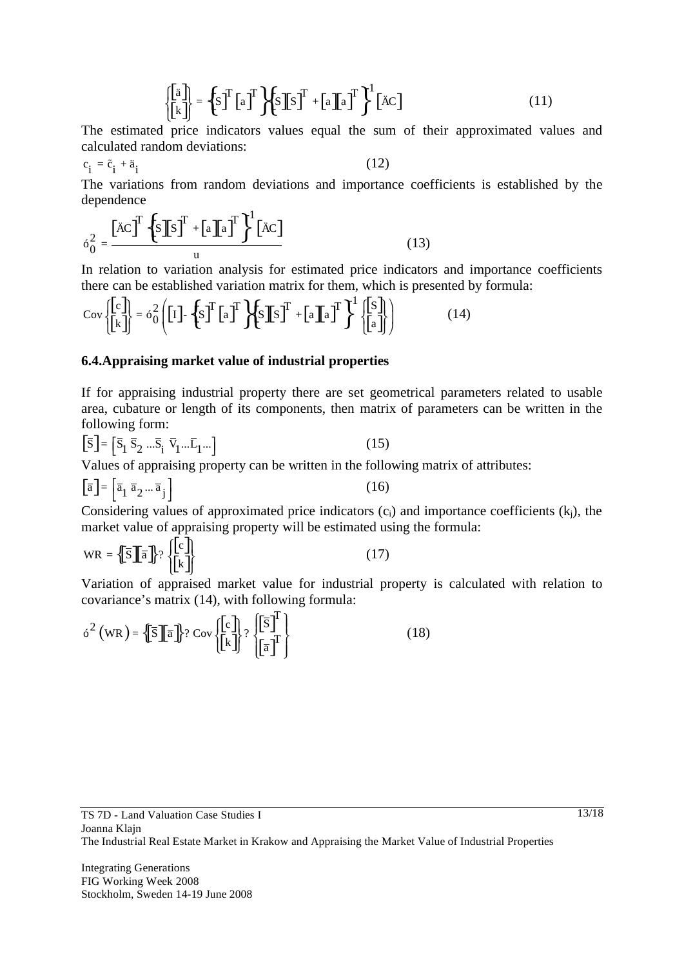$$
\begin{Bmatrix} \begin{bmatrix} \ddot{a} \\ \begin{bmatrix} k \end{bmatrix} \end{Bmatrix} = \left\{ S \right\}^T \begin{bmatrix} a \end{bmatrix}^T \begin{bmatrix} S \end{bmatrix} S \end{bmatrix}^T + \begin{bmatrix} a \end{bmatrix} a \end{bmatrix}^T \end{Bmatrix}^T \begin{bmatrix} \ddot{A} C \end{bmatrix}
$$
(11)

The estimated price indicators values equal the sum of their approximated values and calculated random deviations:

$$
c_i = \tilde{c}_i + a_i \tag{12}
$$

The variations from random deviations and importance coefficients is established by the dependence

$$
\delta_0^2 = \frac{\left[\ddot{A}C\right]^T \left\{S \right] \left[S \right]^T + \left[a \right] \left[a \right]^T \right\}^1 \left[\ddot{A}C\right]}{u} \tag{13}
$$

In relation to variation analysis for estimated price indicators and importance coefficients there can be established variation matrix for them, which is presented by formula:

$$
Cov \begin{Bmatrix} c \\ \bar{k} \end{Bmatrix} = 6\frac{2}{0} \left( \begin{bmatrix} I \end{bmatrix} - \left\{ S \right\}^T \begin{bmatrix} a \end{bmatrix}^T \right) \left\{ S \begin{bmatrix} S \\ S \end{bmatrix} S \right\}^T + \left[ a \begin{bmatrix} a \end{bmatrix}^T \right\}^1 \left\{ \begin{bmatrix} S \\ \bar{l} \end{bmatrix} \right\} \tag{14}
$$

#### **6.4.Appraising market value of industrial properties**

If for appraising industrial property there are set geometrical parameters related to usable area, cubature or length of its components, then matrix of parameters can be written in the following form:

$$
\left[\overline{\mathbf{S}}\right] = \left[\overline{\mathbf{S}}_1 \ \overline{\mathbf{S}}_2 \ \dots \overline{\mathbf{S}}_i \ \overline{\mathbf{V}}_1 \dots \overline{\mathbf{L}}_1 \dots\right]
$$
\n(15)

Values of appraising property can be written in the following matrix of attributes:

$$
\left[\overline{\mathbf{a}}\right] = \left[\overline{\mathbf{a}}_1 \ \overline{\mathbf{a}}_2 \dots \overline{\mathbf{a}}_j\right] \tag{16}
$$

Considering values of approximated price indicators  $(c_i)$  and importance coefficients  $(k_i)$ , the market value of appraising property will be estimated using the formula:

$$
WR = \left\{ \overline{S} \right\} \overline{a} \right\} ? \left\{ \begin{bmatrix} c \\ \overline{k} \end{bmatrix} \right\}
$$
 (17)

Variation of appraised market value for industrial property is calculated with relation to covariance's matrix (14), with following formula:

$$
\delta^{2} \left( \text{WR} \right) = \left\{ \overline{\mathbf{S}} \left[ \overline{\mathbf{a}} \right] \right\} ? \text{Cov} \left\{ \begin{bmatrix} c \\ k \end{bmatrix} \right\} ? \left\{ \begin{bmatrix} \overline{\mathbf{S}} \end{bmatrix}^{T} \right\}
$$
(18)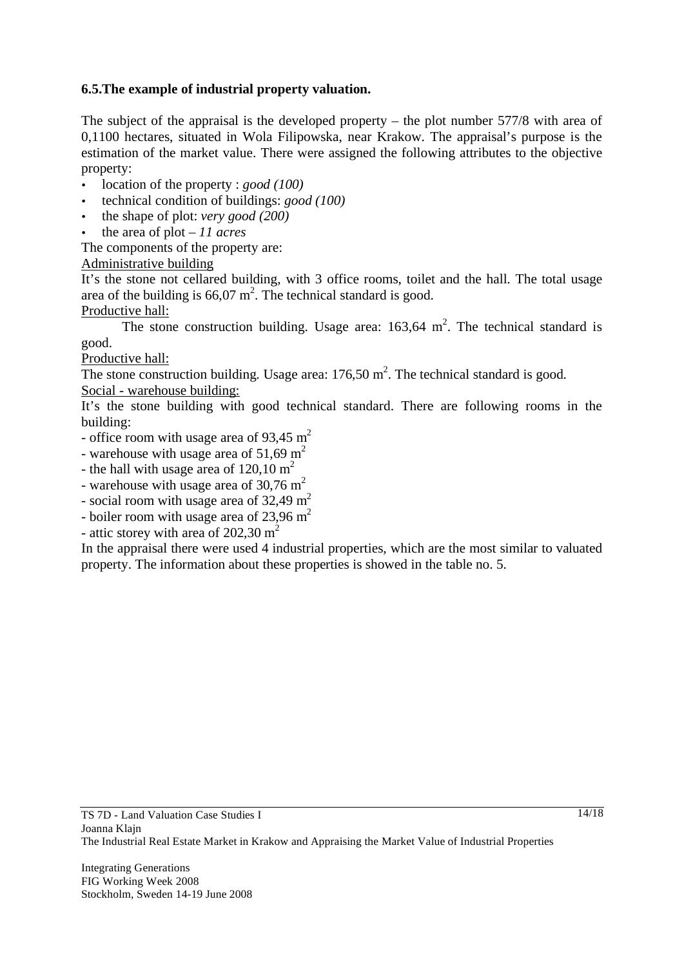## **6.5.The example of industrial property valuation.**

The subject of the appraisal is the developed property – the plot number 577/8 with area of 0,1100 hectares, situated in Wola Filipowska, near Krakow. The appraisal's purpose is the estimation of the market value. There were assigned the following attributes to the objective property:

- location of the property : *good (100)*
- technical condition of buildings: *good (100)*
- the shape of plot: *very good (200)*
- the area of plot *11 acres*

The components of the property are:

Administrative building

It's the stone not cellared building, with 3 office rooms, toilet and the hall. The total usage area of the building is  $66,07 \text{ m}^2$ . The technical standard is good.

Productive hall:

The stone construction building. Usage area:  $163,64 \text{ m}^2$ . The technical standard is good.

Productive hall:

The stone construction building. Usage area:  $176,50$  m<sup>2</sup>. The technical standard is good.

Social - warehouse building:

It's the stone building with good technical standard. There are following rooms in the building:

- office room with usage area of  $93,45 \text{ m}^2$
- warehouse with usage area of  $51,69 \text{ m}^2$
- the hall with usage area of  $120,10 \text{ m}^2$
- warehouse with usage area of  $30,76 \text{ m}^2$
- social room with usage area of  $32,49 \text{ m}^2$
- boiler room with usage area of  $23,96 \text{ m}^2$
- attic storey with area of  $202,30 \text{ m}^2$

In the appraisal there were used 4 industrial properties, which are the most similar to valuated property. The information about these properties is showed in the table no. 5.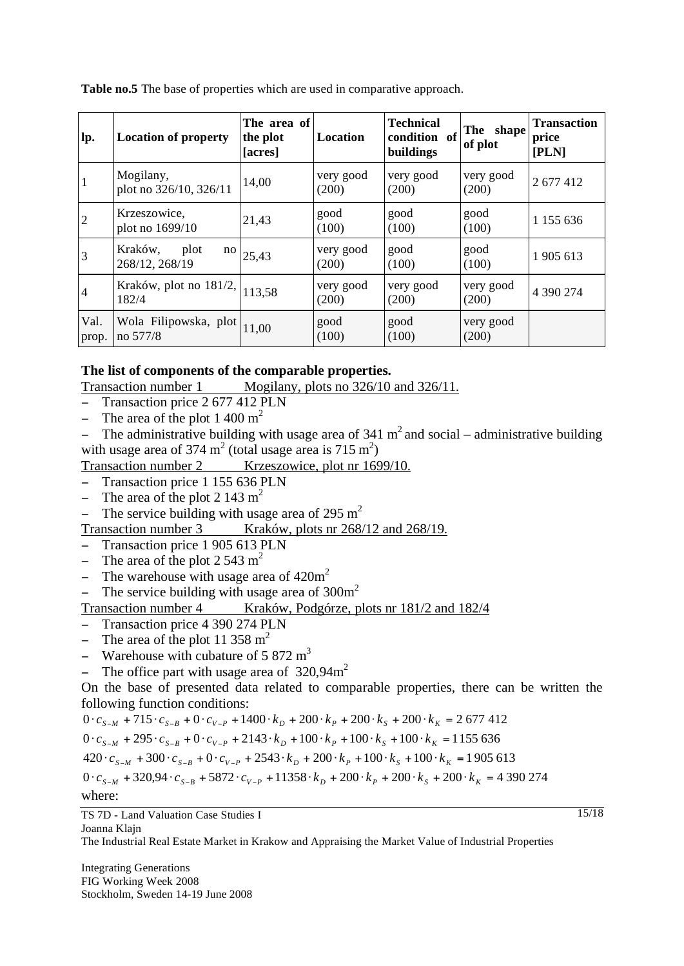**Table no.5** The base of properties which are used in comparative approach.

| lp.            | <b>Location of property</b>                       | The area of<br>the plot<br>[acres] | Location           | <b>Technical</b><br>condition of<br>buildings | The shape<br>of plot | <b>Transaction</b><br>price<br>[PLN] |
|----------------|---------------------------------------------------|------------------------------------|--------------------|-----------------------------------------------|----------------------|--------------------------------------|
| 1              | Mogilany,<br>plot no 326/10, 326/11               | 14,00                              | very good<br>(200) | very good<br>(200)                            | very good<br>(200)   | 2 677 412                            |
| $\overline{2}$ | Krzeszowice,<br>plot no 1699/10                   | 21,43                              | good<br>(100)      | good<br>(100)                                 | good<br>(100)        | 1 1 5 6 6 3 6                        |
| 3              | Kraków,<br>plot<br>no<br>268/12, 268/19           | 25,43                              | very good<br>(200) | good<br>(100)                                 | good<br>(100)        | 1905 613                             |
| $\overline{4}$ | Kraków, plot no $181/2$ , 113,58<br>182/4         |                                    | very good<br>(200) | very good<br>(200)                            | very good<br>(200)   | 4 390 274                            |
| Val.<br>prop.  | Wola Filipowska, plot $ 11,00\rangle$<br>no 577/8 |                                    | good<br>(100)      | good<br>(100)                                 | very good<br>(200)   |                                      |

#### **The list of components of the comparable properties.**

Transaction number 1 Mogilany, plots no 326/10 and 326/11.

- Transaction price 2 677 412 PLN
- The area of the plot  $1\ 400 \text{ m}^2$

- The administrative building with usage area of  $341 \text{ m}^2$  and social – administrative building with usage area of 374  $m<sup>2</sup>$  (total usage area is 715  $m<sup>2</sup>$ )

Transaction number 2 Krzeszowice, plot nr 1699/10.

- Transaction price 1 155 636 PLN
- The area of the plot  $2 \frac{143 \text{ m}^2}{ }$
- The service building with usage area of 295 m<sup>2</sup>

Transaction number 3 Kraków, plots nr 268/12 and 268/19.

- Transaction price 1 905 613 PLN
- The area of the plot  $2\frac{543 \text{ m}^2}{ }$
- The warehouse with usage area of  $420m^2$
- The service building with usage area of  $300m^2$

### Transaction number 4 Kraków, Podgórze, plots nr 181/2 and 182/4

- Transaction price 4 390 274 PLN
- The area of the plot 11 358  $m<sup>2</sup>$
- Warehouse with cubature of 5 872  $m<sup>3</sup>$
- The office part with usage area of  $320,94 \text{m}^2$

On the base of presented data related to comparable properties, there can be written the following function conditions:

 $0 \cdot c_{s-M} + 715 \cdot c_{s-B} + 0 \cdot c_{v-P} + 1400 \cdot k_D + 200 \cdot k_P + 200 \cdot k_S + 200 \cdot k_K = 2677412$ 

 $0 \cdot c_{s-M} + 295 \cdot c_{s-B} + 0 \cdot c_{v-P} + 2143 \cdot k_D + 100 \cdot k_P + 100 \cdot k_S + 100 \cdot k_R = 1155636$ 

 $420 \cdot c_{s-M} + 300 \cdot c_{s-B} + 0 \cdot c_{v-P} + 2543 \cdot k_D + 200 \cdot k_P + 100 \cdot k_S + 100 \cdot k_R = 1905613$ 

 $0 \cdot c_{s-M}$  + 320,94  $\cdot c_{s-B}$  + 5872  $\cdot c_{v-P}$  + 11358  $\cdot k_D$  + 200  $\cdot k_P$  + 200  $\cdot k_S$  + 200  $\cdot k_K$  = 4 390 274

where:

TS 7D - Land Valuation Case Studies I Joanna Klain

The Industrial Real Estate Market in Krakow and Appraising the Market Value of Industrial Properties

Integrating Generations FIG Working Week 2008 Stockholm, Sweden 14-19 June 2008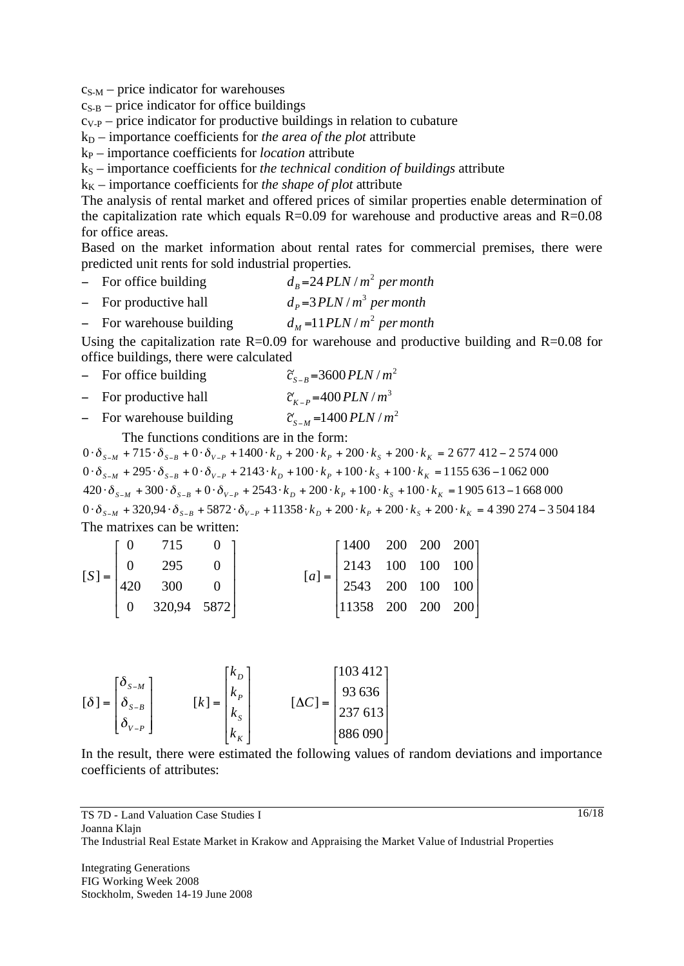$c_{S-M}$  – price indicator for warehouses

 $c_{S-B}$  – price indicator for office buildings

 $c_{V-P}$  – price indicator for productive buildings in relation to cubature

- $k_D$  importance coefficients for *the area of the plot* attribute
- kP importance coefficients for *location* attribute
- kS importance coefficients for *the technical condition of buildings* attribute
- $k_K$  importance coefficients for *the shape of plot* attribute

The analysis of rental market and offered prices of similar properties enable determination of the capitalization rate which equals  $R=0.09$  for warehouse and productive areas and  $R=0.08$ for office areas.

Based on the market information about rental rates for commercial premises, there were predicted unit rents for sold industrial properties.

- For office building  $d_B = 24 PLN/m^2$  *per month*
- For productive hall  $d_p = 3PLN/m^3$  per month
- For warehouse building  $d_M = 11 PLN/m^2$  *per month*

Using the capitalization rate  $R=0.09$  for warehouse and productive building and  $R=0.08$  for office buildings, there were calculated

- For office building  $\tilde{c}_{S-B} = 3600 \, PLN/m^2$
- For productive hall  $\tilde{c}_{K-p} = 400 \, PLN / m^3$
- $-$  For warehouse building  $c_{S-M} = 1400$  *PLN* / *m*

The functions conditions are in the form:

 $0 \cdot \delta_{s-M} + 320,94 \cdot \delta_{s-B} + 5872 \cdot \delta_{v-P} + 11358 \cdot k_D + 200 \cdot k_P + 200 \cdot k_S + 200 \cdot k_K = 4390274 - 3504184$  $420 \cdot \delta_{s-M} + 300 \cdot \delta_{s-B} + 0 \cdot \delta_{v-P} + 2543 \cdot k_D + 200 \cdot k_P + 100 \cdot k_S + 100 \cdot k_K = 1905613 - 1668000$  $0 \cdot \delta_{s-M} + 295 \cdot \delta_{s-B} + 0 \cdot \delta_{v-P} + 2143 \cdot k_D + 100 \cdot k_P + 100 \cdot k_S + 100 \cdot k_K = 1155636 - 1062000$  $0 \cdot \delta_{s-M} + 715 \cdot \delta_{s-B} + 0 \cdot \delta_{v-P} + 1400 \cdot k_D + 200 \cdot k_P + 200 \cdot k_S + 200 \cdot k_K = 2677412 - 2574000$ The matrixes can be written:

$$
\begin{bmatrix} S \end{bmatrix} = \begin{bmatrix} 0 & 715 & 0 \\ 0 & 295 & 0 \\ 420 & 300 & 0 \\ 0 & 320,94 & 5872 \end{bmatrix} \qquad \qquad \begin{bmatrix} 1400 & 200 & 200 & 200 \\ 2143 & 100 & 100 & 100 \\ 2543 & 200 & 100 & 100 \\ 11358 & 200 & 200 & 200 \end{bmatrix}
$$

$$
\begin{bmatrix} \delta \end{bmatrix} = \begin{bmatrix} \delta_{S-M} \\ \delta_{S-B} \\ \delta_{V-P} \end{bmatrix} \qquad [k] = \begin{bmatrix} k_D \\ k_P \\ k_S \\ k_K \end{bmatrix} \qquad [\Delta C] = \begin{bmatrix} 103\ 412 \\ 93\ 636 \\ 237\ 613 \\ 886\ 090 \end{bmatrix}
$$

In the result, there were estimated the following values of random deviations and importance coefficients of attributes: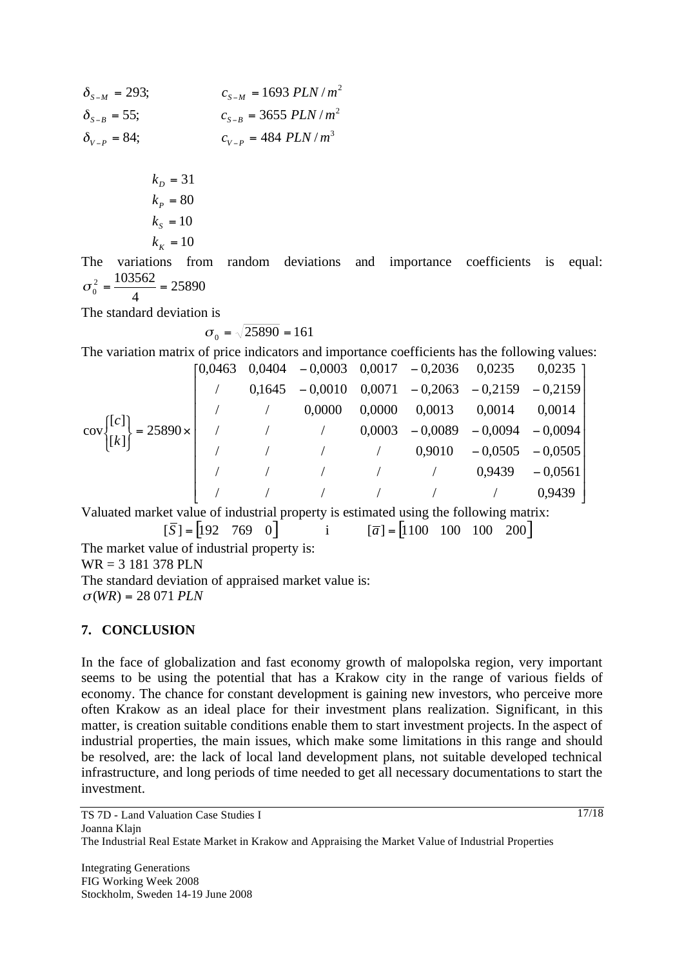$c_{V-P} = 484 \, PLN/m^3$  $c_{S-B} = 3655$  *PLN* /  $m^2$  $c_{S-M} = 1693$  *PLN* /  $m^2$  $\delta_{V-P} = 84;$   $c_{V-P}$  $\delta_{S-B} = 55;$   $c_{S-B}$  $\delta_{S-M} = 293;$   $c_{S-M}$ 

$$
k_p = 31
$$
  
\n
$$
k_p = 80
$$
  
\n
$$
k_s = 10
$$
  
\n
$$
k_k = 10
$$

The variations from random deviations and importance coefficients is equal: 25890 4 2 103562  $\sigma_0^2 = \frac{1000000}{4}$ 

The standard deviation is

$$
\sigma_0 = \sqrt{25890} = 161
$$

The variation matrix of price indicators and importance coefficients has the following values:

|                                                                                                                                                                                 |  |          |        | $\begin{bmatrix} 0,0463 & 0,0404 & -0,0003 & 0,0017 & -0,2036 & 0,0235 & 0,0235 \end{bmatrix}$ |                 |
|---------------------------------------------------------------------------------------------------------------------------------------------------------------------------------|--|----------|--------|------------------------------------------------------------------------------------------------|-----------------|
|                                                                                                                                                                                 |  |          |        | $0,1645 - 0,0010$ $0,0071 - 0,2063 - 0,2159 - 0,2159$                                          |                 |
|                                                                                                                                                                                 |  | (0.0000) | 0,0000 | $0,0013$ $0,0014$ $0,0014$                                                                     |                 |
| $\begin{bmatrix} \text{cov} \end{bmatrix} \begin{bmatrix} [c] \ [k] \end{bmatrix} = 25890 \times \begin{bmatrix} \text{cov} \end{bmatrix}$ / (0,0003 - 0,0089 - 0,0094 - 0,0094 |  |          |        |                                                                                                |                 |
|                                                                                                                                                                                 |  |          |        | $/$ $/$ $/$ $0,9010$ $-0,0505$ $-0,0505$                                                       |                 |
|                                                                                                                                                                                 |  |          |        | $\frac{1}{2}$ / $\frac{1}{2}$ / $\frac{0.9439}{0.9439}$ $\frac{-0.0561}{0.0561}$               |                 |
|                                                                                                                                                                                 |  |          |        |                                                                                                | $\angle$ 0,9439 |

Valuated market value of industrial property is estimated using the following matrix:

$$
\begin{bmatrix} \overline{S} \end{bmatrix} = \begin{bmatrix} 192 & 769 & 0 \end{bmatrix} \qquad \text{i} \qquad \begin{bmatrix} \overline{a} \end{bmatrix} = \begin{bmatrix} 1100 & 100 & 100 & 200 \end{bmatrix}
$$

The market value of industrial property is:

WR = 3 181 378 PLN

The standard deviation of appraised market value is:  $\sigma(WR) = 28071$  *PLN* 

# **7. CONCLUSION**

In the face of globalization and fast economy growth of malopolska region, very important seems to be using the potential that has a Krakow city in the range of various fields of economy. The chance for constant development is gaining new investors, who perceive more often Krakow as an ideal place for their investment plans realization. Significant, in this matter, is creation suitable conditions enable them to start investment projects. In the aspect of industrial properties, the main issues, which make some limitations in this range and should be resolved, are: the lack of local land development plans, not suitable developed technical infrastructure, and long periods of time needed to get all necessary documentations to start the investment.